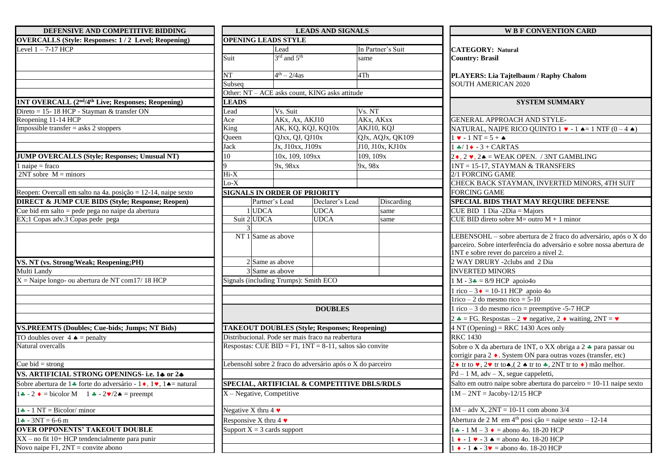| DEFENSIVE AND COMPETITIVE BIDDING                                                                |                                                            |                         | <b>LEADS AND SIGNALS</b> |                                             | <b>WB F CONVENTION CARD</b>                                                                                          |
|--------------------------------------------------------------------------------------------------|------------------------------------------------------------|-------------------------|--------------------------|---------------------------------------------|----------------------------------------------------------------------------------------------------------------------|
| <b>OVERCALLS (Style: Responses: 1/2 Level; Reopening)</b>                                        | <b>OPENING LEADS STYLE</b>                                 |                         |                          |                                             |                                                                                                                      |
| Level 1-7-17 HCP                                                                                 |                                                            | Lead                    |                          | In Partner's Suit                           | <b>CATEGORY: Natural</b>                                                                                             |
|                                                                                                  | Suit                                                       | 3rd and 5 <sup>th</sup> |                          | same                                        | <b>Country: Brasil</b>                                                                                               |
|                                                                                                  |                                                            |                         |                          |                                             |                                                                                                                      |
|                                                                                                  | NΤ                                                         | $4^{th} - 2/4$ as       |                          | 4Th                                         | PLAYERS: Lia Tajtelbaum / Raphy Chalom                                                                               |
|                                                                                                  | Subseq                                                     |                         |                          |                                             | <b>SOUTH AMERICAN 2020</b>                                                                                           |
|                                                                                                  | Other: NT - ACE asks count, KING asks attitude             |                         |                          |                                             |                                                                                                                      |
| <b>INT OVERCALL (2nd/4th Live; Responses; Reopening)</b>                                         | <b>LEADS</b>                                               |                         |                          |                                             | <b>SYSTEM SUMMARY</b>                                                                                                |
| Direto = 15-18 HCP - Stayman & transfer ON                                                       | Lead                                                       | Vs. Suit                |                          | Vs. NT                                      |                                                                                                                      |
| Reopening 11-14 HCP                                                                              | Ace                                                        | AKx, Ax, AKJ10          |                          | AKx, AKxx                                   | GENERAL APPROACH AND STYLE-                                                                                          |
| Impossible transfer = $a$ sks 2 stoppers                                                         | King                                                       | AK, KQ, KQJ, KQ10x      |                          | AKJ10, KQJ                                  | NATURAL, NAIPE RICO QUINTO $1 \cdot -1 \cdot = 1$ NTF $(0 - 4 \cdot )$                                               |
|                                                                                                  | Queen                                                      | QJxx, QJ, QJ10x         |                          | QJx, AQJx, QK109                            | $1 \bullet - 1 NT = 5 + \bullet$                                                                                     |
|                                                                                                  | Jack                                                       | Jx, J10xx, J109x        |                          | J10, J10x, KJ10x                            | $1 + 1 - 3 + CARTAS$                                                                                                 |
| <b>JUMP OVERCALLS (Style; Responses; Unusual NT)</b>                                             | 10                                                         | 10x, 109, 109xx         |                          | 109, 109x                                   | $2\bullet$ , $2\bullet$ , $2\bullet$ = WEAK OPEN. / 3NT GAMBLING                                                     |
| $1$ naipe = fraco                                                                                |                                                            | 9x, 98xx                |                          | 9x, 98x                                     | 1NT = 15-17, STAYMAN & TRANSFERS                                                                                     |
| $2NT$ sobre $M =$ minors                                                                         | $Hi-X$                                                     |                         |                          |                                             | 2/1 FORCING GAME                                                                                                     |
|                                                                                                  | $Lo-X$                                                     |                         |                          |                                             | CHECK BACK STAYMAN, INVERTED MINORS, 4TH SUIT                                                                        |
| Reopen: Overcall em salto na 4a. posição = $12-14$ , naipe sexto                                 | <b>SIGNALS IN ORDER OF PRIORITY</b>                        |                         |                          |                                             | <b>FORCING GAME</b>                                                                                                  |
| <b>DIRECT &amp; JUMP CUE BIDS (Style; Response; Reopen)</b>                                      |                                                            | Partner's Lead          | Declarer's Lead          | Discarding                                  | SPECIAL BIDS THAT MAY REQUIRE DEFENSE                                                                                |
| Cue bid em salto = pede pega no naipe da abertura                                                | <b>UDCA</b>                                                |                         | <b>UDCA</b>              | same                                        | CUE BID 1 Dia -2Dia = Majors                                                                                         |
| EX;1 Copas adv.3 Copas pede pega                                                                 | Suit 2 UDCA                                                |                         | <b>UDCA</b>              | same                                        | CUE BID direto sobre $M =$ outro $M + 1$ minor                                                                       |
|                                                                                                  |                                                            |                         |                          |                                             |                                                                                                                      |
|                                                                                                  | NT $1$ Same as above                                       |                         |                          |                                             | LEBENSOHL - sobre abertura de 2 fraco do adversário, após o X do                                                     |
|                                                                                                  |                                                            |                         |                          |                                             | parceiro. Sobre interferência do adversário e sobre nossa abertura de                                                |
|                                                                                                  |                                                            |                         |                          |                                             | 1NT e sobre rever do parceiro a nivel 2.                                                                             |
| VS. NT (vs. Strong/Weak; Reopening;PH)                                                           |                                                            | 2 Same as above         |                          |                                             | 2 WAY DRURY -2clubs and 2 Dia                                                                                        |
| Multi Landy                                                                                      |                                                            | 3 Same as above         |                          |                                             | <b>INVERTED MINORS</b>                                                                                               |
| $X =$ Naipe longo- ou abertura de NT com 17/18 HCP                                               | Signals (including Trumps): Smith ECO                      |                         |                          |                                             | $1 M - 3 = 8/9$ HCP apoio4o                                                                                          |
|                                                                                                  |                                                            |                         |                          |                                             | 1 rico – 3 $\bullet$ = 10-11 HCP apoio 4o                                                                            |
|                                                                                                  |                                                            |                         |                          |                                             | $1$ rico – 2 do mesmo rico = 5-10                                                                                    |
|                                                                                                  |                                                            |                         | <b>DOUBLES</b>           |                                             | 1 rico – 3 do mesmo rico = preemptive -5-7 HCP                                                                       |
|                                                                                                  |                                                            |                         |                          |                                             | 2 $\triangle$ = FG. Respostas – 2 $\triangledown$ negative, 2 $\triangle$ waiting, 2NT = $\triangledown$             |
| <b>VS.PREEMTS (Doubles; Cue-bids; Jumps; NT Bids)</b>                                            | <b>TAKEOUT DOUBLES (Style; Responses; Reopening)</b>       |                         |                          |                                             | $4 NT (Opening) = RKC 1430 Aces only$                                                                                |
| TO doubles over $4 \triangleq$ = penalty                                                         | Distribucional. Pode ser mais fraco na reabertura          |                         |                          |                                             | <b>RKC 1430</b>                                                                                                      |
| Natural overcalls                                                                                | Respostas: CUE BID = F1, $1NT = 8-11$ , saltos são convite |                         |                          |                                             | Sobre o X da abertura de 1NT, o XX obriga a 2 + para passar ou                                                       |
|                                                                                                  |                                                            |                         |                          |                                             | corrigir para 2 . System ON para outras vozes (transfer, etc)                                                        |
| Cue bid = strong                                                                                 | Lebensohl sobre 2 fraco do adversário após o X do parceiro |                         |                          |                                             | 2 ♦ tr to $\bullet$ , 2 $\bullet$ tr to $\bullet$ , (2 $\bullet$ tr to $\bullet$ , 2NT tr to $\bullet$ ) mão melhor. |
| VS. ARTIFICIAL STRONG OPENINGS- i.e. 14 or 24                                                    |                                                            |                         |                          |                                             | $Pd - 1 M$ , adv - X, segue cappeletti,                                                                              |
| Sobre abertura de 14 forte do adversário - 1 $\bullet$ , 1 $\bullet$ , 1 $\bullet$ = natural     |                                                            |                         |                          | SPECIAL, ARTIFICIAL & COMPETITIVE DBLS/RDLS | Salto em outro naipe sobre abertura do parceiro = 10-11 naipe sexto                                                  |
| $1 \cdot 2 \cdot 2 = \text{bicolor } M \quad 1 \cdot 2 \cdot 2 \cdot 2 \cdot 2 = \text{preempt}$ | $X - Negative$ , Competitive                               |                         |                          |                                             | $1M - 2NT = Jacoby-12/15 HCP$                                                                                        |
| $1 - 1 NT = Bicolor/minor$                                                                       | Negative X thru 4 $\bullet$                                |                         |                          |                                             | $1M - adv X$ , $2NT = 10-11$ com abono 3/4                                                                           |
| $1 - 3NT = 6 - 6 m$                                                                              | Responsive X thru 4 $\bullet$                              |                         |                          |                                             | Abertura de 2 M em 4 <sup>th</sup> posi ção = naipe sexto - 12-14                                                    |
| <b>OVER OPPONENTS' TAKEOUT DOUBLE</b>                                                            |                                                            |                         |                          |                                             | $1 - 1 M - 3$ $\bullet$ = abono 4o. 18-20 HCP                                                                        |
|                                                                                                  | Support $X = 3$ cards support                              |                         |                          |                                             |                                                                                                                      |
| XX - no fit 10+ HCP tendencialmente para punir                                                   |                                                            |                         |                          |                                             | $1 \cdot -1 \cdot -3 \cdot =$ abono 4o. 18-20 HCP                                                                    |
| Novo naipe $F1$ , $2NT =$ convite abono                                                          |                                                            |                         |                          |                                             | $1 \bullet - 1 \bullet - 3 \bullet =$ abono 4o. 18-20 HCP                                                            |